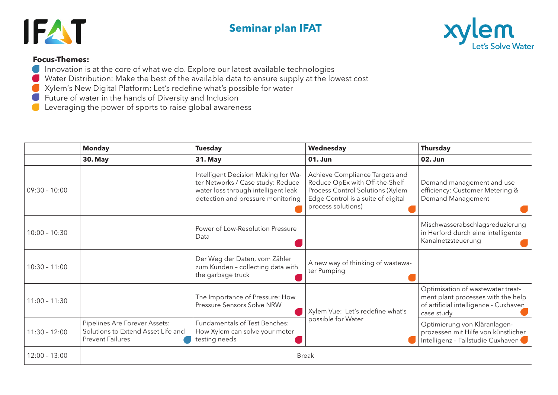## **Seminar plan IFAT**





## **Focus-Themes:**

- **Innovation is at the core of what we do. Explore our latest available technologies**
- Water Distribution: Make the best of the available data to ensure supply at the lowest cost
- Xylem's New Digital Platform: Let's redefine what's possible for water
- Future of water in the hands of Diversity and Inclusion
- **•** Leveraging the power of sports to raise global awareness

|                 | <b>Monday</b>                                                                                  | <b>Tuesday</b>                                                                                                                                       | Wednesday                                                                                                                                                        | <b>Thursday</b>                                                                                                                |  |  |
|-----------------|------------------------------------------------------------------------------------------------|------------------------------------------------------------------------------------------------------------------------------------------------------|------------------------------------------------------------------------------------------------------------------------------------------------------------------|--------------------------------------------------------------------------------------------------------------------------------|--|--|
|                 | <b>30. May</b>                                                                                 | <b>31. May</b>                                                                                                                                       | $01.$ Jun                                                                                                                                                        | <b>02. Jun</b>                                                                                                                 |  |  |
| $09:30 - 10:00$ |                                                                                                | Intelligent Decision Making for Wa-<br>ter Networks / Case study: Reduce<br>water loss through intelligent leak<br>detection and pressure monitoring | Achieve Compliance Targets and<br>Reduce OpEx with Off-the-Shelf<br>Process Control Solutions (Xylem<br>Edge Control is a suite of digital<br>process solutions) | Demand management and use<br>efficiency: Customer Metering &<br>Demand Management                                              |  |  |
| $10:00 - 10:30$ |                                                                                                | Power of Low-Resolution Pressure<br>Data                                                                                                             |                                                                                                                                                                  | Mischwasserabschlagsreduzierung<br>in Herford durch eine intelligente<br>Kanalnetzsteuerung                                    |  |  |
| $10:30 - 11:00$ |                                                                                                | Der Weg der Daten, vom Zähler<br>zum Kunden - collecting data with<br>the garbage truck                                                              | A new way of thinking of wastewa-<br>ter Pumping                                                                                                                 |                                                                                                                                |  |  |
| $11:00 - 11:30$ |                                                                                                | The Importance of Pressure: How<br>Pressure Sensors Solve NRW                                                                                        | Xylem Vue: Let's redefine what's<br>possible for Water                                                                                                           | Optimisation of wastewater treat-<br>ment plant processes with the help<br>of artificial intelligence - Cuxhaven<br>case study |  |  |
| $11:30 - 12:00$ | Pipelines Are Forever Assets:<br>Solutions to Extend Asset Life and<br><b>Prevent Failures</b> | Fundamentals of Test Benches:<br>How Xylem can solve your meter<br>testing needs                                                                     |                                                                                                                                                                  | Optimierung von Kläranlagen-<br>prozessen mit Hilfe von künstlicher<br>Intelligenz - Fallstudie Cuxhaven                       |  |  |
| $12:00 - 13:00$ | <b>Break</b>                                                                                   |                                                                                                                                                      |                                                                                                                                                                  |                                                                                                                                |  |  |